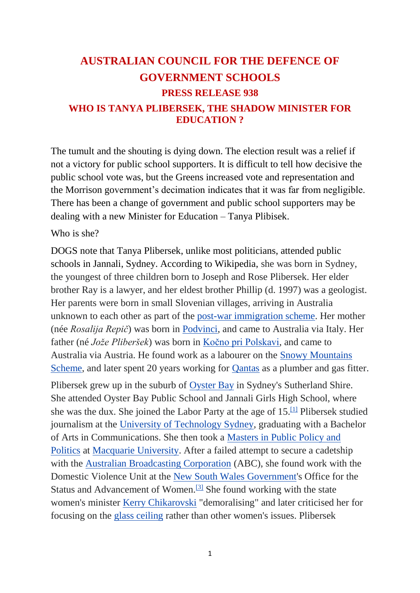# **AUSTRALIAN COUNCIL FOR THE DEFENCE OF GOVERNMENT SCHOOLS PRESS RELEASE 938 WHO IS TANYA PLIBERSEK, THE SHADOW MINISTER FOR EDUCATION ?**

The tumult and the shouting is dying down. The election result was a relief if not a victory for public school supporters. It is difficult to tell how decisive the public school vote was, but the Greens increased vote and representation and the Morrison government's decimation indicates that it was far from negligible. There has been a change of government and public school supporters may be dealing with a new Minister for Education – Tanya Plibisek.

#### Who is she?

DOGS note that Tanya Plibersek, unlike most politicians, attended public schools in Jannali, Sydney. According to Wikipedia, she was born in Sydney, the youngest of three children born to Joseph and Rose Plibersek. Her elder brother Ray is a lawyer, and her eldest brother Phillip (d. 1997) was a geologist. Her parents were born in small Slovenian villages, arriving in Australia unknown to each other as part of the [post-war immigration scheme.](https://en.wikipedia.org/wiki/Post-war_immigration_to_Australia) Her mother (née *Rosalija Repič*) was born in [Podvinci,](https://en.wikipedia.org/wiki/Podvinci) and came to Australia via Italy. Her father (né *Jože Pliberšek*) was born in [Kočno pri Polskavi,](https://en.wikipedia.org/wiki/Ko%C4%8Dno_pri_Polskavi) and came to Australia via Austria. He found work as a labourer on the [Snowy Mountains](https://en.wikipedia.org/wiki/Snowy_Mountains_Scheme)  [Scheme,](https://en.wikipedia.org/wiki/Snowy_Mountains_Scheme) and later spent 20 years working for [Qantas](https://en.wikipedia.org/wiki/Qantas) as a plumber and gas fitter.

Plibersek grew up in the suburb of [Oyster Bay](https://en.wikipedia.org/wiki/Oyster_Bay,_New_South_Wales) in Sydney's Sutherland Shire. She attended Oyster Bay Public School and Jannali Girls High School, where she was the dux. She joined the Labor Party at the age of  $15<sup>[11]</sup>$  Plibersek studied journalism at the [University of Technology Sydney,](https://en.wikipedia.org/wiki/University_of_Technology_Sydney) graduating with a Bachelor of Arts in Communications. She then took a [Masters in Public Policy and](https://en.wikipedia.org/wiki/Master_of_Public_Policy)  [Politics](https://en.wikipedia.org/wiki/Master_of_Public_Policy) at [Macquarie University.](https://en.wikipedia.org/wiki/Macquarie_University) After a failed attempt to secure a cadetship with the [Australian Broadcasting Corporation](https://en.wikipedia.org/wiki/Australian_Broadcasting_Corporation) (ABC), she found work with the Domestic Violence Unit at the [New South Wales Government's](https://en.wikipedia.org/wiki/New_South_Wales_Government) Office for the Status and Advancement of Women.<sup>[\[3\]](https://en.wikipedia.org/wiki/Tanya_Plibersek#cite_note-rise-3)</sup> She found working with the state women's minister [Kerry Chikarovski](https://en.wikipedia.org/wiki/Kerry_Chikarovski) "demoralising" and later criticised her for focusing on the [glass ceiling](https://en.wikipedia.org/wiki/Glass_ceiling) rather than other women's issues. Plibersek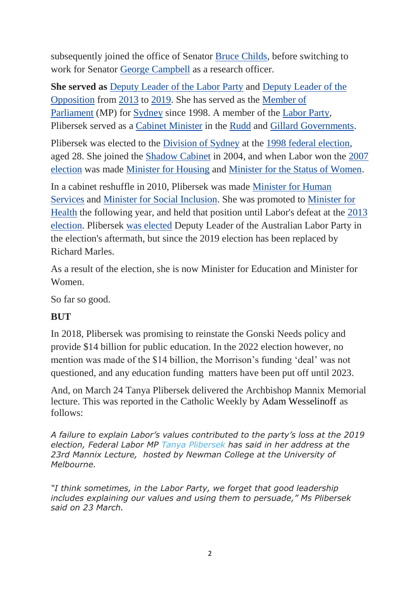subsequently joined the office of Senator [Bruce Childs,](https://en.wikipedia.org/wiki/Bruce_Childs) before switching to work for Senator [George Campbell](https://en.wikipedia.org/wiki/George_Campbell_(Australian_politician)) as a research officer.

**She served as** [Deputy Leader of the Labor Party](https://en.wikipedia.org/wiki/Leaders_of_the_Australian_Labor_Party) and [Deputy Leader of the](https://en.wikipedia.org/wiki/Leader_of_the_Opposition_(Australia))  [Opposition](https://en.wikipedia.org/wiki/Leader_of_the_Opposition_(Australia)) from [2013](https://en.wikipedia.org/wiki/October_2013_Australian_Labor_Party_leadership_election) to [2019.](https://en.wikipedia.org/wiki/2019_Australian_Labor_Party_leadership_election) She has served as the [Member of](https://en.wikipedia.org/wiki/Australian_House_of_Representatives)  [Parliament](https://en.wikipedia.org/wiki/Australian_House_of_Representatives) (MP) for [Sydney](https://en.wikipedia.org/wiki/Division_of_Sydney) since 1998. A member of the [Labor Party,](https://en.wikipedia.org/wiki/Australian_Labor_Party) Plibersek served as a [Cabinet Minister](https://en.wikipedia.org/wiki/Cabinet_Minister) in the [Rudd](https://en.wikipedia.org/wiki/Rudd_Government_(disambiguation)) and [Gillard Governments.](https://en.wikipedia.org/wiki/Gillard_Government)

Plibersek was elected to the [Division of Sydney](https://en.wikipedia.org/wiki/Division_of_Sydney) at the [1998 federal election,](https://en.wikipedia.org/wiki/1998_Australian_federal_election) aged 28. She joined the [Shadow Cabinet](https://en.wikipedia.org/wiki/Shadow_Cabinet_of_Australia) in 2004, and when Labor won the [2007](https://en.wikipedia.org/wiki/2007_Australian_federal_election)  [election](https://en.wikipedia.org/wiki/2007_Australian_federal_election) was made [Minister for Housing](https://en.wikipedia.org/wiki/Minister_for_Housing_(Australia)) and [Minister for the Status of Women.](https://en.wikipedia.org/wiki/Minister_for_Women_(Australia))

In a cabinet reshuffle in 2010, Plibersek was made [Minister for Human](https://en.wikipedia.org/wiki/Minister_for_Human_Services_(Australia))  [Services](https://en.wikipedia.org/wiki/Minister_for_Human_Services_(Australia)) and [Minister for Social Inclusion.](https://en.wikipedia.org/wiki/Minister_for_Social_Inclusion_(Australia)) She was promoted to [Minister for](https://en.wikipedia.org/wiki/Minister_for_Health_(Australia))  [Health](https://en.wikipedia.org/wiki/Minister_for_Health_(Australia)) the following year, and held that position until Labor's defeat at the [2013](https://en.wikipedia.org/wiki/2013_Australian_federal_election)  [election.](https://en.wikipedia.org/wiki/2013_Australian_federal_election) Plibersek [was elected](https://en.wikipedia.org/wiki/October_2013_Australian_Labor_Party_leadership_election) Deputy Leader of the Australian Labor Party in the election's aftermath, but since the 2019 election has been replaced by Richard Marles.

As a result of the election, she is now Minister for Education and Minister for Women.

So far so good.

## **BUT**

In 2018, Plibersek was promising to reinstate the Gonski Needs policy and provide \$14 billion for public education. In the 2022 election however, no mention was made of the \$14 billion, the Morrison's funding 'deal' was not questioned, and any education funding matters have been put off until 2023.

And, on March 24 Tanya Plibersek delivered the Archbishop Mannix Memorial lecture. This was reported in the Catholic Weekly by [Adam Wesselinoff](https://www.catholicweekly.com.au/author/adam-wesselinoff/) as follows:

*A failure to explain Labor's values contributed to the party's loss at the 2019 election, Federal Labor MP [Tanya Plibersek](https://www.catholicweekly.com.au/tag/tanya-plibersek/) has said in her address at the 23rd Mannix Lecture, hosted by Newman College at the University of Melbourne.*

*"I think sometimes, in the Labor Party, we forget that good leadership includes explaining our values and using them to persuade," Ms Plibersek said on 23 March.*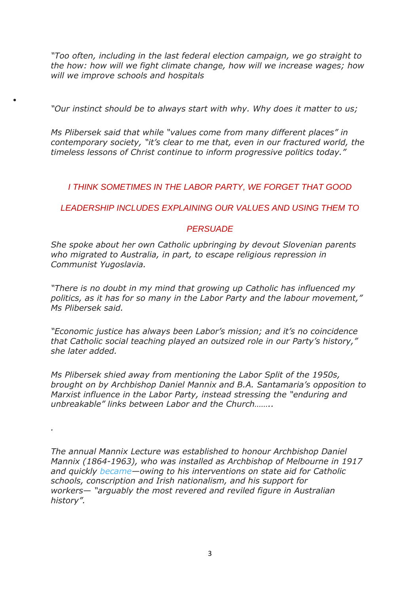*"Too often, including in the last federal election campaign, we go straight to the how: how will we fight climate change, how will we increase wages; how will we improve schools and hospitals*

*"Our instinct should be to always start with why. Why does it matter to us;*

 $\bullet$ 

*.*

*Ms Plibersek said that while "values come from many different places" in contemporary society, "it's clear to me that, even in our fractured world, the timeless lessons of Christ continue to inform progressive politics today."*

*I THINK SOMETIMES IN THE LABOR PARTY, WE FORGET THAT GOOD* 

*LEADERSHIP INCLUDES EXPLAINING OUR VALUES AND USING THEM TO* 

#### *PERSUADE*

*She spoke about her own Catholic upbringing by devout Slovenian parents who migrated to Australia, in part, to escape religious repression in Communist Yugoslavia.*

*"There is no doubt in my mind that growing up Catholic has influenced my politics, as it has for so many in the Labor Party and the labour movement," Ms Plibersek said.*

*"Economic justice has always been Labor's mission; and it's no coincidence that Catholic social teaching played an outsized role in our Party's history," she later added.*

*Ms Plibersek shied away from mentioning the Labor Split of the 1950s, brought on by Archbishop Daniel Mannix and B.A. Santamaria's opposition to Marxist influence in the Labor Party, instead stressing the "enduring and unbreakable" links between Labor and the Church……..*

*The annual Mannix Lecture was established to honour Archbishop Daniel Mannix (1864-1963), who was installed as Archbishop of Melbourne in 1917 and quickly [became](https://adb.anu.edu.au/biography/mannix-daniel-7478)—owing to his interventions on state aid for Catholic schools, conscription and Irish nationalism, and his support for workers— "arguably the most revered and reviled figure in Australian history".*